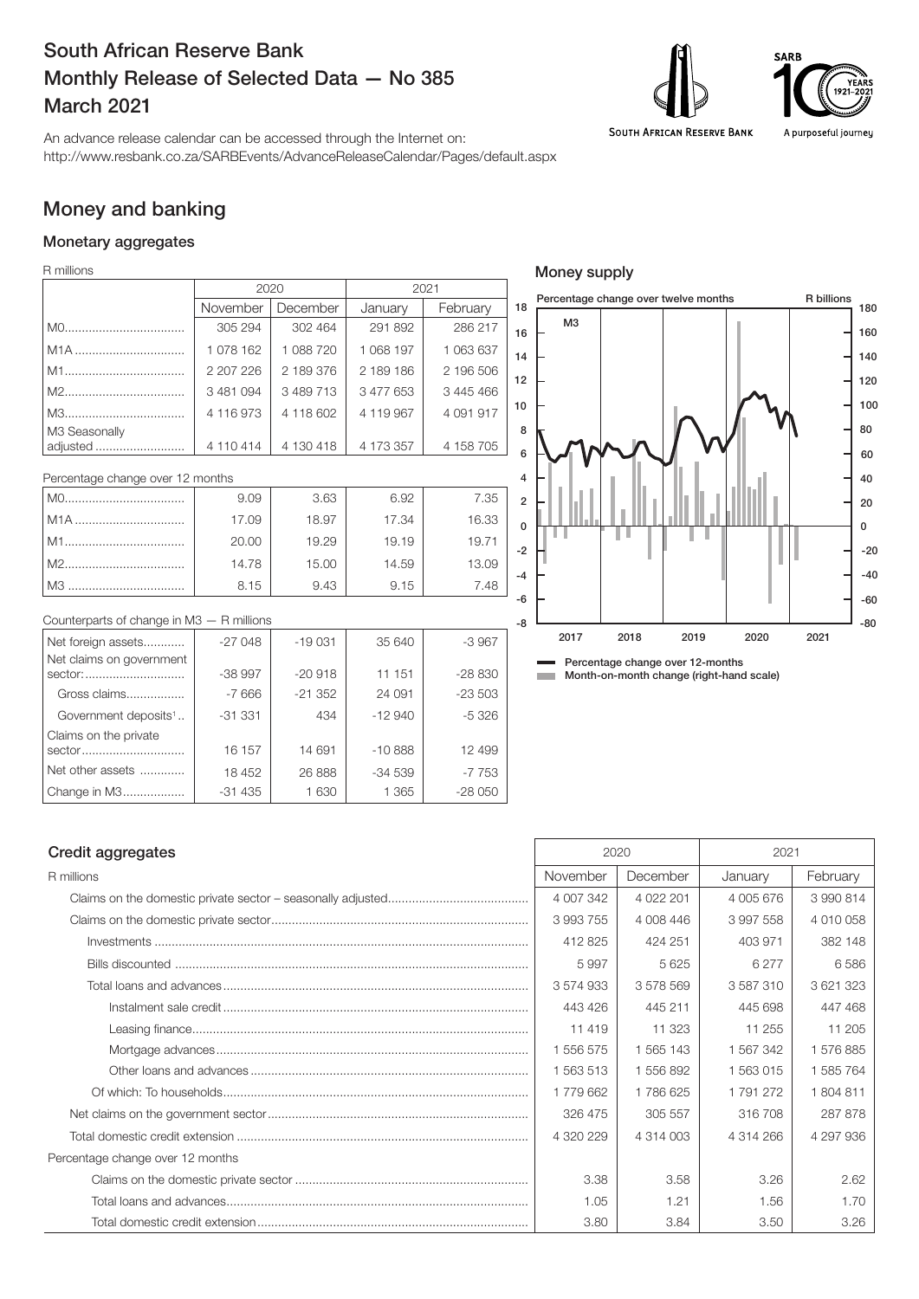# South African Reserve Bank Monthly Release of Selected Data — No 385 March 2021



Money supply



An advance release calendar can be accessed through the Internet on: http://www.resbank.co.za/SARBEvents/AdvanceReleaseCalendar/Pages/default.aspx

# Money and banking

### Monetary aggregates

R millions

|                           |           | 2020      | 2021      |           |                |
|---------------------------|-----------|-----------|-----------|-----------|----------------|
|                           | November  | December  | January   | February  | $\overline{1}$ |
|                           | 305 294   | 302 464   | 291 892   | 286 217   |                |
| M <sub>1</sub> A          | 1 078 162 | 1 088 720 | 1 068 197 | 1 063 637 |                |
|                           | 2 207 226 | 2 189 376 | 2 189 186 | 2 196 506 |                |
|                           | 3 481 094 | 3 489 713 | 3 477 653 | 3 445 466 |                |
|                           | 4 116 973 | 4 118 602 | 4 119 967 | 4 091 917 |                |
| M3 Seasonally<br>adjusted | 4 110 414 | 4 130 418 | 4 173 357 | 4 158 705 |                |

| Percentage change over 12 months |       |       |       |       |  |
|----------------------------------|-------|-------|-------|-------|--|
|                                  | 9.09  | 3.63  | 6.92  | 7.35  |  |
| l M1A                            | 17.09 | 18.97 | 17.34 | 16.33 |  |
| l M1………………………………                 | 20.00 | 19.29 | 19.19 | 19.71 |  |
|                                  | 14.78 | 15.00 | 14.59 | 13.09 |  |
| l M3                             | 8.15  | 9.43  | 9.15  | 7.48  |  |

| Counterparts of change in $M3 - R$ millions |          |           |          |          |
|---------------------------------------------|----------|-----------|----------|----------|
| Net foreign assets                          | $-27048$ | $-19031$  | 35 640   | $-3967$  |
| Net claims on government                    |          |           |          |          |
| sector:                                     | $-38997$ | $-20918$  | 11 151   | $-28830$ |
| Gross claims                                | $-7666$  | $-21.352$ | 24 091   | $-23503$ |
| Government deposits <sup>1</sup>            | $-31331$ | 434       | $-12940$ | $-5.326$ |
| Claims on the private                       |          |           |          |          |
| sector                                      | 16 157   | 14 691    | $-10888$ | 12 499   |
| Net other assets                            | 18 452   | 26 888    | $-34539$ | $-7753$  |
| Change in M3                                | $-31435$ | 1630      | 1 3 6 5  | $-28050$ |

### -80 -60  $-40$ -20 0 20 40 60 80 100 120 140 160 180 R billions M3 -8 -6 -4 -2 0 2 4 6 8 10 12 14 16 Percentage change over twelve months Percentage change over 12-months **Month-on-month change (right-hand scale)** 2017 2018 2019 2020 2021

## Credit aggregates 2021

| R millions                       | November  | December      | January   | February  |
|----------------------------------|-----------|---------------|-----------|-----------|
|                                  | 4 007 342 | 4 0 2 2 2 0 1 | 4 005 676 | 3 990 814 |
|                                  | 3 993 755 | 4 008 446     | 3997558   | 4 010 058 |
|                                  | 412 825   | 424 251       | 403 971   | 382 148   |
|                                  | 5997      | 5625          | 6 2 7 7   | 6586      |
|                                  | 3 574 933 | 3578569       | 3587310   | 3 621 323 |
|                                  | 443 426   | 445 211       | 445 698   | 447 468   |
|                                  | 11 4 19   | 11 323        | 11 255    | 11 205    |
|                                  | 1 556 575 | 1 565 143     | 1 567 342 | 1576885   |
|                                  | 1 563 513 | 1556892       | 1 563 015 | 1 585 764 |
|                                  | 1779662   | 1786625       | 1791272   | 1804811   |
|                                  | 326 475   | 305 557       | 316708    | 287 878   |
|                                  | 4 320 229 | 4 314 003     | 4 314 266 | 4 297 936 |
| Percentage change over 12 months |           |               |           |           |
|                                  | 3.38      | 3.58          | 3.26      | 2.62      |
|                                  | 1.05      | 1.21          | 1.56      | 1.70      |
|                                  | 3.80      | 3.84          | 3.50      | 3.26      |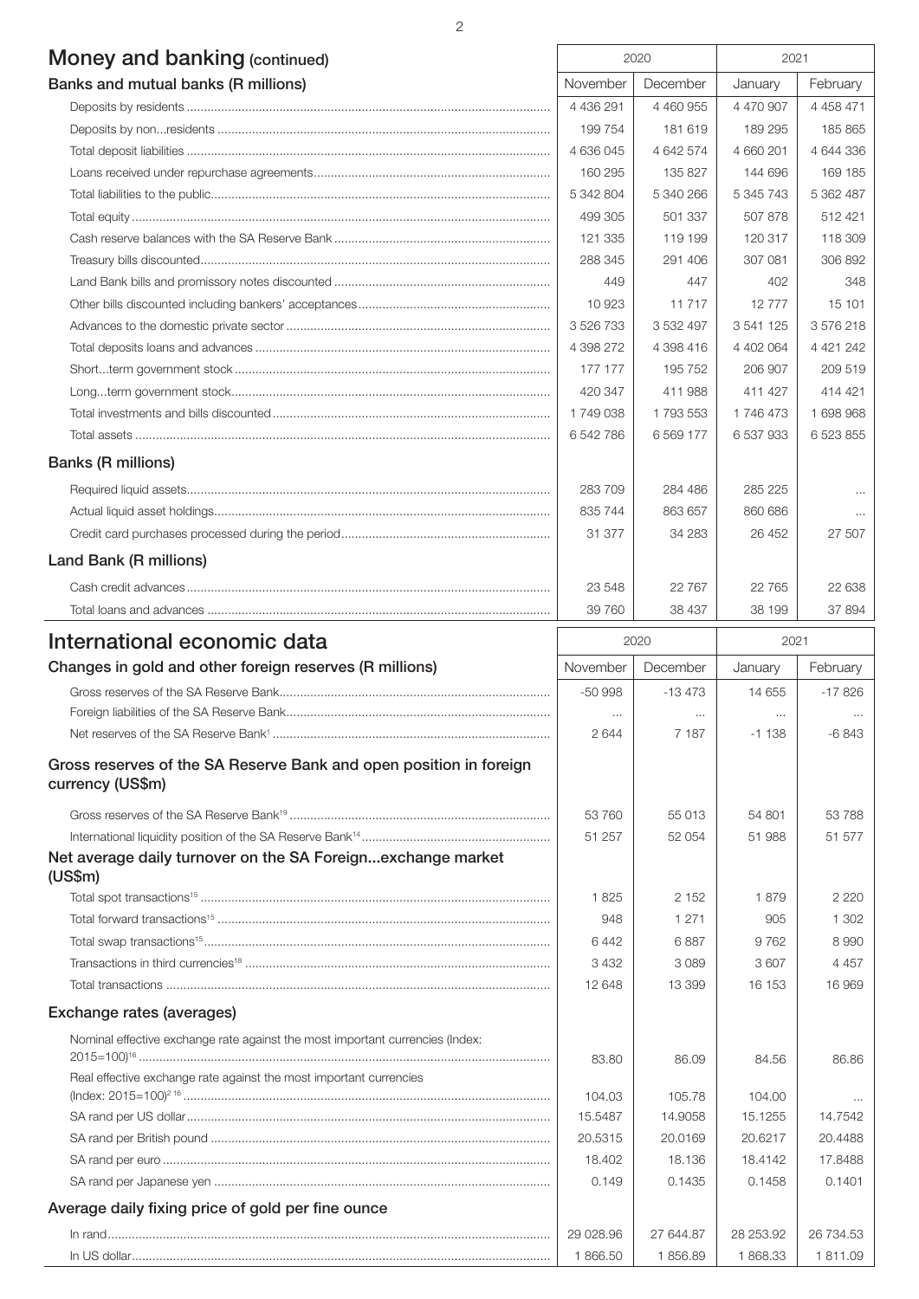| 2                                   |           |           |           |               |  |
|-------------------------------------|-----------|-----------|-----------|---------------|--|
| Money and banking (continued)       |           | 2020      |           | 2021          |  |
| Banks and mutual banks (R millions) | November  | December  | January   | February      |  |
|                                     | 4 436 291 | 4 460 955 | 4 470 907 | 4 4 5 8 4 7 1 |  |
|                                     | 199 754   | 181 619   | 189 295   | 185 865       |  |
|                                     | 4 636 045 | 4 642 574 | 4 660 201 | 4 644 336     |  |
|                                     | 160 295   | 135 827   | 144 696   | 169 185       |  |
|                                     | 5 342 804 | 5 340 266 | 5 345 743 | 5 362 487     |  |
|                                     | 499 305   | 501 337   | 507878    | 512 421       |  |
|                                     | 121 335   | 119 199   | 120 317   | 118 309       |  |
|                                     | 288 345   | 291 406   | 307 081   | 306 892       |  |
|                                     | 449       | 447       | 402       | 348           |  |
|                                     | 10 923    | 11 7 17   | 12777     | 15 101        |  |
|                                     | 3 526 733 | 3 532 497 | 3 541 125 | 3576218       |  |
|                                     | 4 398 272 | 4 398 416 | 4 402 064 | 4 4 21 2 4 2  |  |
|                                     | 177 177   | 195 752   | 206 907   | 209 519       |  |
|                                     | 420 347   | 411 988   | 411 427   | 414 421       |  |

|                           | 6 542 786 | 6 569 177 | 6 537 933 | 6 523 855 |
|---------------------------|-----------|-----------|-----------|-----------|
| <b>Banks (R millions)</b> |           |           |           |           |
|                           | 283709    | 284 486   | 285 225   | $\cdots$  |
|                           | 835 744   | 863 657   | 860 686   | $\cdots$  |
|                           | 31 377    | 34 283    | 26 452    | 27 507    |
| Land Bank (R millions)    |           |           |           |           |
|                           | 23 548    | 22767     | 22 765    | 22 638    |
|                           | 39 760    | 38 437    | 38 199    | 37 894    |

Total investments and bills discounted................................................................................. 1 749 038 1 793 553 1 746 473 1 698 968

| International economic data                                                            | 2020      |           | 2021      |           |
|----------------------------------------------------------------------------------------|-----------|-----------|-----------|-----------|
| Changes in gold and other foreign reserves (R millions)                                | November  | December  | January   | February  |
|                                                                                        | $-50998$  | $-13473$  | 14 655    | $-17826$  |
|                                                                                        | $\cdots$  | $\cdots$  | $\cdots$  |           |
|                                                                                        | 2644      | 7 187     | $-1138$   | $-6843$   |
| Gross reserves of the SA Reserve Bank and open position in foreign<br>currency (US\$m) |           |           |           |           |
|                                                                                        | 53 760    | 55 013    | 54 801    | 53788     |
|                                                                                        | 51 257    | 52 054    | 51 988    | 51 577    |
| Net average daily turnover on the SA Foreignexchange market                            |           |           |           |           |
| (US\$m)                                                                                |           |           |           |           |
|                                                                                        | 1825      | 2 1 5 2   | 1879      | 2220      |
|                                                                                        | 948       | 1 2 7 1   | 905       | 1 302     |
|                                                                                        | 6442      | 6887      | 9762      | 8990      |
|                                                                                        | 3 4 3 2   | 3089      | 3607      | 4 4 5 7   |
|                                                                                        | 12 648    | 13 399    | 16 153    | 16969     |
| Exchange rates (averages)                                                              |           |           |           |           |
| Nominal effective exchange rate against the most important currencies (Index:          |           |           |           |           |
|                                                                                        | 83.80     | 86.09     | 84.56     | 86.86     |
| Real effective exchange rate against the most important currencies                     |           |           |           |           |
|                                                                                        | 104.03    | 105.78    | 104.00    |           |
|                                                                                        | 15.5487   | 14.9058   | 15.1255   | 14.7542   |
|                                                                                        | 20.5315   | 20.0169   | 20.6217   | 20.4488   |
|                                                                                        | 18.402    | 18.136    | 18.4142   | 17.8488   |
|                                                                                        | 0.149     | 0.1435    | 0.1458    | 0.1401    |
| Average daily fixing price of gold per fine ounce                                      |           |           |           |           |
|                                                                                        | 29 028.96 | 27 644.87 | 28 253.92 | 26 734.53 |
|                                                                                        | 1866.50   | 1856.89   | 1868.33   | 1811.09   |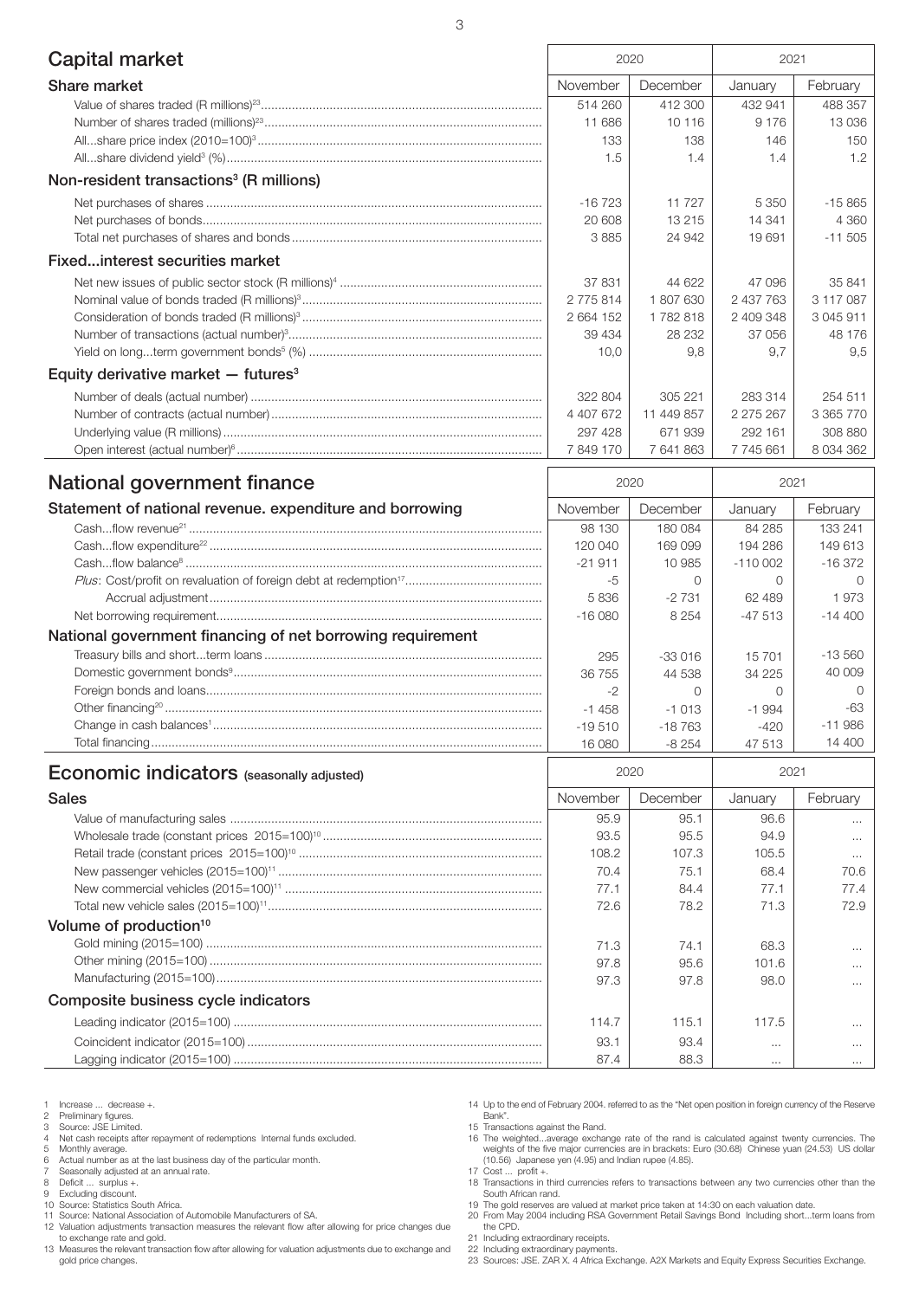| 3                                                          |                    |                    |                       |               |  |  |
|------------------------------------------------------------|--------------------|--------------------|-----------------------|---------------|--|--|
| <b>Capital market</b>                                      | 2020               |                    | 2021                  |               |  |  |
| Share market                                               | November           | December           | January               | February      |  |  |
|                                                            | 514 260            | 412 300            | 432 941               | 488 357       |  |  |
|                                                            | 11 686             | 10 116             | 9 1 7 6               | 13 0 36       |  |  |
|                                                            | 133                | 138                | 146                   | 150           |  |  |
|                                                            | 1.5                | 1.4                | 1.4                   | 1.2           |  |  |
| Non-resident transactions <sup>3</sup> (R millions)        |                    |                    |                       |               |  |  |
|                                                            | $-16723$           | 11 727             | 5 3 5 0               | $-15865$      |  |  |
|                                                            | 20 608             | 13 215             | 14 341                | 4 3 6 0       |  |  |
|                                                            | 3885               | 24 942             | 19 691                | $-11505$      |  |  |
| Fixedinterest securities market                            |                    |                    |                       |               |  |  |
|                                                            | 37 831             | 44 622             | 47 096                | 35 841        |  |  |
|                                                            | 2775814            | 1807630            | 2 437 763             | 3 117 087     |  |  |
|                                                            | 2 664 152          | 1782818            | 2 409 348             | 3 045 911     |  |  |
|                                                            | 39 4 34            | 28 232             | 37 056                | 48 176        |  |  |
|                                                            | 10,0               | 9,8                | 9,7                   | 9,5           |  |  |
| Equity derivative market $-$ futures <sup>3</sup>          |                    |                    |                       |               |  |  |
|                                                            | 322 804            | 305 221            | 283 314               | 254 511       |  |  |
|                                                            | 4 407 672          | 11 449 857         | 2 275 267             | 3 365 770     |  |  |
|                                                            | 297 428            | 671939             | 292 161               | 308 880       |  |  |
|                                                            | 7849170            | 7641863            | 7745661               | 8 0 3 4 3 6 2 |  |  |
| National government finance                                | 2020               |                    | 2021                  |               |  |  |
| Statement of national revenue. expenditure and borrowing   | November           | December           | January               | February      |  |  |
|                                                            | 98 130             | 180 084            | 84 285                | 133 241       |  |  |
|                                                            | 120 040            | 169 099            | 194 286               | 149 613       |  |  |
|                                                            |                    |                    |                       | $-16372$      |  |  |
|                                                            | $-21911$<br>-5     | 10 985<br>$\Omega$ | $-110002$<br>$\Omega$ | $\Omega$      |  |  |
|                                                            |                    |                    | 62 489                | 1973          |  |  |
|                                                            | 5836<br>$-16080$   | $-2731$<br>8 2 5 4 | $-47513$              | $-14400$      |  |  |
|                                                            |                    |                    |                       |               |  |  |
| National government financing of net borrowing requirement |                    |                    |                       | $-13560$      |  |  |
|                                                            | 295                | $-33016$           | 15701                 | 40 009        |  |  |
|                                                            | 36 755             | 44 538             | 34 225                | 0             |  |  |
| Other financing <sup>20</sup>                              | $-2$               | $\Omega$           | $\Omega$              | -63           |  |  |
|                                                            | $-1458$            | $-1013$            | $-1994$               | $-11986$      |  |  |
|                                                            | $-19510$<br>16 080 | -18763<br>$-8254$  | $-420$<br>47 513      | 14 400        |  |  |
|                                                            |                    |                    |                       |               |  |  |
| <b>Economic indicators</b> (seasonally adjusted)           | 2020               |                    | 2021                  |               |  |  |
| <b>Sales</b>                                               | November           | December           | January               | February      |  |  |
|                                                            | 95.9               | 95.1               | 96.6                  |               |  |  |
|                                                            | 93.5               | 95.5               | 94.9                  | $\cdots$      |  |  |
|                                                            | 108.2              | 107.3              | 105.5                 | $\cdots$      |  |  |
|                                                            | 70.4               | 75.1               | 68.4                  | 70.6          |  |  |
|                                                            | 77.1               | 84.4               | 77.1                  | 77.4          |  |  |
|                                                            | 72.6               | 78.2               | 71.3                  | 72.9          |  |  |
| Volume of production <sup>10</sup>                         |                    |                    |                       |               |  |  |
|                                                            | 71.3               | 74.1               | 68.3                  | .             |  |  |
|                                                            | 97.8               | 95.6               | 101.6                 | .             |  |  |
|                                                            | 97.3               | 97.8               | 98.0                  | $\cdots$      |  |  |
| Composite business cycle indicators                        |                    |                    |                       |               |  |  |
|                                                            | 114.7              | 115.1              | 117.5                 | $\cdots$      |  |  |
|                                                            | 93.1               | 93.4               |                       | $\cdots$      |  |  |
|                                                            | 87.4               | 88.3               | $\cdots$              | $\cdots$      |  |  |

- 1 Increase ... decrease +.<br>2 Preliminary figures.<br>3 Source: JSE Limited.
- 2 Preliminary figures. 3 Source: JSE Limited.
- 
- 4 Net cash receipts after repayment of redemptions Internal funds excluded. 5 Monthly average. 6 Actual number as at the last business day of the particular month.
- 
- 
- 7 Seasonally adjusted at an annual rate. 8 Deficit ... surplus +.
- 
- 9 Excluding discount. 10 Source: Statistics South Africa.
- 11 Source: National Association of Automobile Manufacturers of SA.

12 Valuation adjustments transaction measures the relevant flow after allowing for price changes due to exchange rate and gold.

13 Measures the relevant transaction flow after allowing for valuation adjustments due to exchange and gold price changes.

14 Up to the end of February 2004. referred to as the "Net open position in foreign currency of the Reserve Bank". 15 Transactions against the Rand.

16 The weighted...average exchange rate of the rand is calculated against twenty currencies. The weights of the five major currencies are in brackets: Euro (30.68) Chinese yuan (24.53) US dollar (10.56) Japanese yen (4.95) and Indian rupee (4.85).

17 Cost ... profit +. 18 Transactions in third currencies refers to transactions between any two currencies other than the

South African rand. 19 The gold reserves are valued at market price taken at 14:30 on each valuation date.

20 From May 2004 including RSA Government Retail Savings Bond Including short...term loans from the CPD.

- 21 Including extraordinary receipts.
- 

22 Including extraordinary payments. 23 Sources: JSE. ZAR X. 4 Africa Exchange. A2X Markets and Equity Express Securities Exchange.